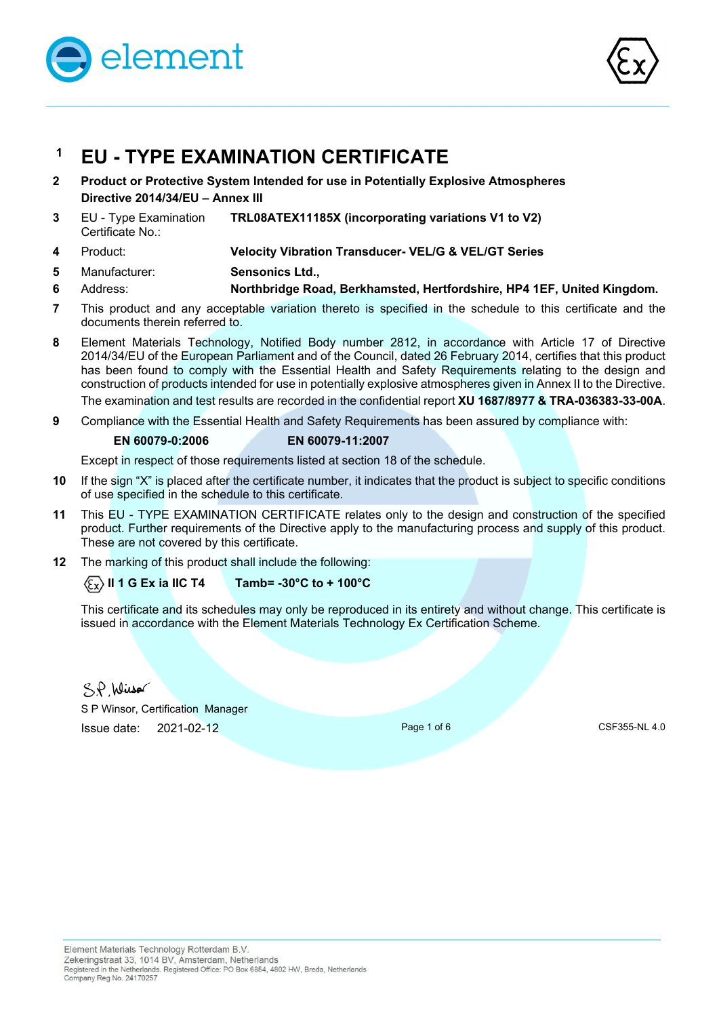



# **1 EU - TYPE EXAMINATION CERTIFICATE**

- **2 Product or Protective System Intended for use in Potentially Explosive Atmospheres Directive 2014/34/EU – Annex III**
- **3** EU Type Examination Certificate No.: **TRL08ATEX11185X (incorporating variations V1 to V2)**
- **4** Product: **Velocity Vibration Transducer- VEL/G & VEL/GT Series**
- **5**  Manufacturer: **Sensonics Ltd.,**
- **6**  Address: **Northbridge Road, Berkhamsted, Hertfordshire, HP4 1EF, United Kingdom.**
- **7** This product and any acceptable variation thereto is specified in the schedule to this certificate and the documents therein referred to.
- **8** Element Materials Technology, Notified Body number 2812, in accordance with Article 17 of Directive 2014/34/EU of the European Parliament and of the Council, dated 26 February 2014, certifies that this product has been found to comply with the Essential Health and Safety Requirements relating to the design and construction of products intended for use in potentially explosive atmospheres given in Annex II to the Directive. The examination and test results are recorded in the confidential report **XU 1687/8977 & TRA-036383-33-00A**.
- **9** Compliance with the Essential Health and Safety Requirements has been assured by compliance with:

#### **EN 60079-0:2006 EN 60079-11:2007**

Except in respect of those requirements listed at section 18 of the schedule.

- **10** If the sign "X" is placed after the certificate number, it indicates that the product is subject to specific conditions of use specified in the schedule to this certificate.
- **11** This EU TYPE EXAMINATION CERTIFICATE relates only to the design and construction of the specified product. Further requirements of the Directive apply to the manufacturing process and supply of this product. These are not covered by this certificate.
- **12** The marking of this product shall include the following:

 $\langle \xi_{\text{X}} \rangle$  II 1 G Ex ia IIC T4 Tamb= -30°C to + 100°C

This certificate and its schedules may only be reproduced in its entirety and without change. This certificate is issued in accordance with the Element Materials Technology Ex Certification Scheme.

SP Wisso

S P Winsor, Certification Manager **Issue date:**  2021-02-12 **Page 1 of 6** Page 1 of 6 CSF355-NL 4.0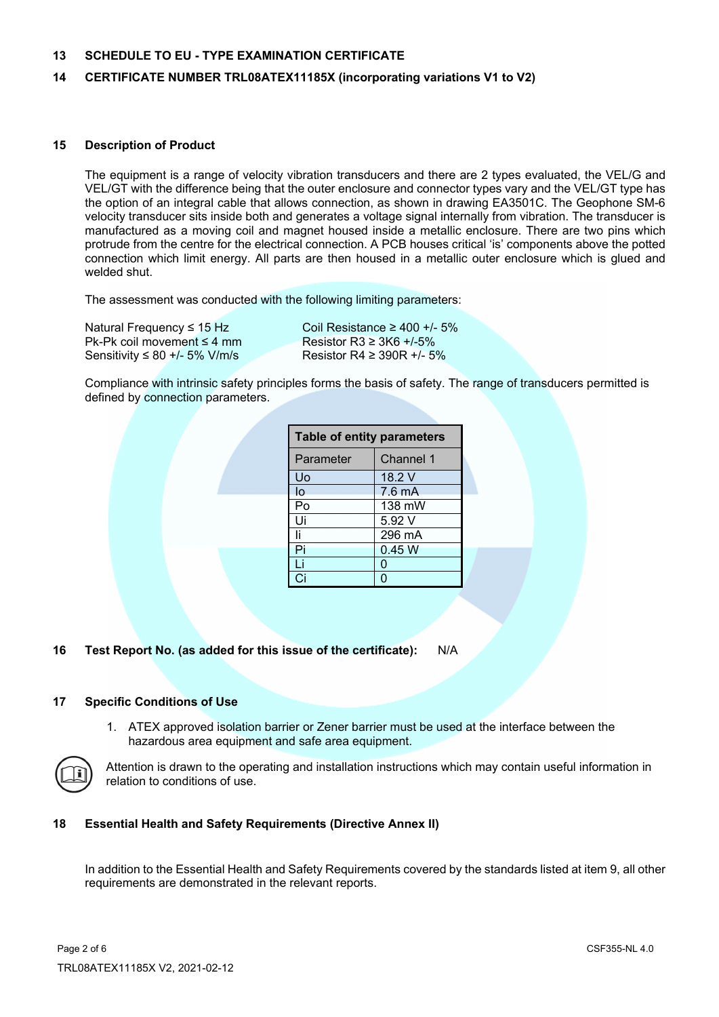#### **13 SCHEDULE TO EU - TYPE EXAMINATION CERTIFICATE**

#### **14 CERTIFICATE NUMBER TRL08ATEX11185X (incorporating variations V1 to V2)**

#### **15 Description of Product**

The equipment is a range of velocity vibration transducers and there are 2 types evaluated, the VEL/G and VEL/GT with the difference being that the outer enclosure and connector types vary and the VEL/GT type has the option of an integral cable that allows connection, as shown in drawing EA3501C. The Geophone SM-6 velocity transducer sits inside both and generates a voltage signal internally from vibration. The transducer is manufactured as a moving coil and magnet housed inside a metallic enclosure. There are two pins which protrude from the centre for the electrical connection. A PCB houses critical 'is' components above the potted connection which limit energy. All parts are then housed in a metallic outer enclosure which is glued and welded shut.

The assessment was conducted with the following limiting parameters:

Natural Frequency ≤ 15 Hz Coil Resistance  $≥$  400 +/- 5% Pk-Pk coil movement ≤ 4 mm Resistor R3  $\geq$  3K6 +/-5% Sensitivity ≤ 80 +/- 5% V/m/s Resistor R4 ≥ 390R +/- 5%

Compliance with intrinsic safety principles forms the basis of safety. The range of transducers permitted is defined by connection parameters.

| <b>Table of entity parameters</b> |                  |  |  |
|-----------------------------------|------------------|--|--|
| Parameter                         | <b>Channel 1</b> |  |  |
| Uo                                | 18.2 V           |  |  |
| lo                                | $7.6 \text{ mA}$ |  |  |
| Po                                | 138 mW           |  |  |
| Ui                                | 5.92 V           |  |  |
| Ιi                                | 296 mA           |  |  |
| Pi                                | 0.45 W           |  |  |
| Li                                | 0                |  |  |
| Ci                                |                  |  |  |

#### **16 Test Report No. (as added for this issue of the certificate):** N/A

#### **17 Specific Conditions of Use**

1. ATEX approved isolation barrier or Zener barrier must be used at the interface between the hazardous area equipment and safe area equipment.



Attention is drawn to the operating and installation instructions which may contain useful information in relation to conditions of use.

#### **18 Essential Health and Safety Requirements (Directive Annex II)**

 In addition to the Essential Health and Safety Requirements covered by the standards listed at item 9, all other requirements are demonstrated in the relevant reports.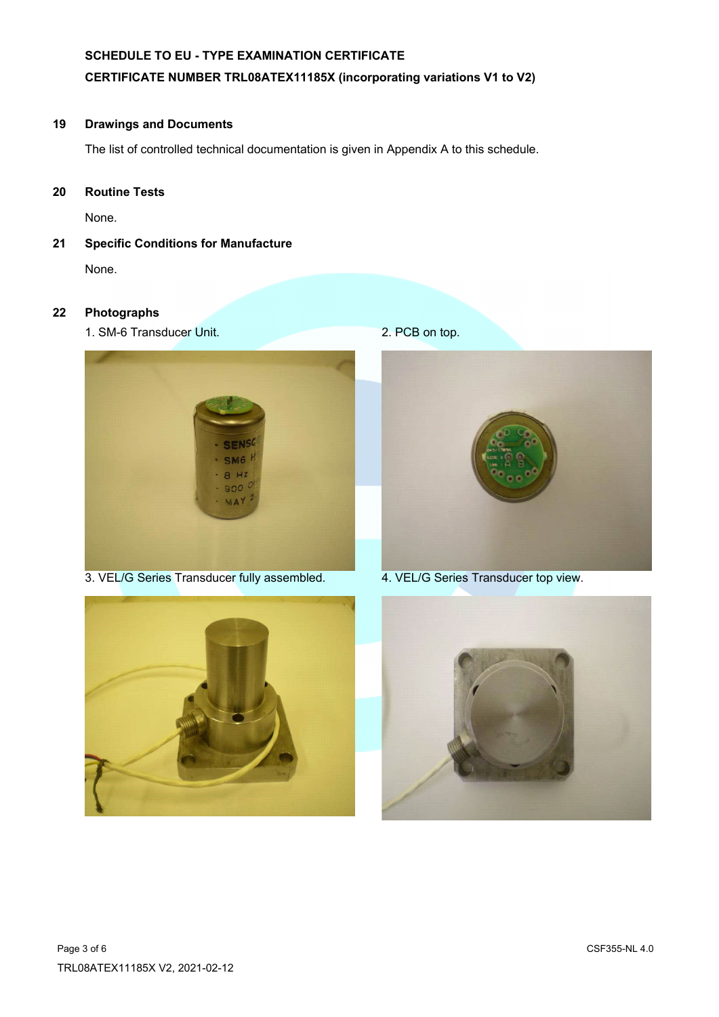# **SCHEDULE TO EU - TYPE EXAMINATION CERTIFICATE CERTIFICATE NUMBER TRL08ATEX11185X (incorporating variations V1 to V2)**

# **19 Drawings and Documents**

The list of controlled technical documentation is given in Appendix A to this schedule.

**20 Routine Tests** 

None.

**21 Specific Conditions for Manufacture** 

None.

# **22 Photographs**

1. SM-6 Transducer Unit. 2. PCB on top.



3. VEL/G Series Transducer fully assembled. 4. VEL/G Series Transducer top view.





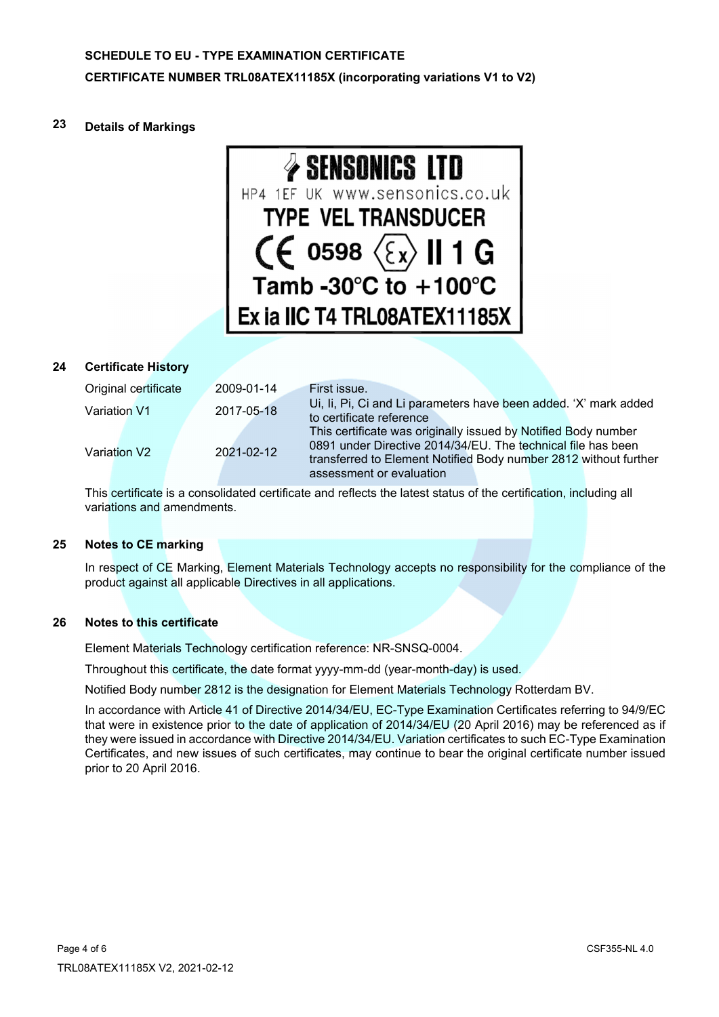#### **23 Details of Markings**



# **24 Certificate History**

| Original certificate | 2009-01-14 | First issue.                                                                                                                                                                                       |
|----------------------|------------|----------------------------------------------------------------------------------------------------------------------------------------------------------------------------------------------------|
| Variation V1         | 2017-05-18 | Ui, Ii, Pi, Ci and Li parameters have been added. 'X' mark added<br>to certificate reference                                                                                                       |
| Variation V2         | 2021-02-12 | This certificate was originally issued by Notified Body number<br>0891 under Directive 2014/34/EU. The technical file has been<br>transferred to Element Notified Body number 2812 without further |
|                      |            | assessment or evaluation                                                                                                                                                                           |

 This certificate is a consolidated certificate and reflects the latest status of the certification, including all variations and amendments.

#### **25 Notes to CE marking**

In respect of CE Marking, Element Materials Technology accepts no responsibility for the compliance of the product against all applicable Directives in all applications.

#### **26 Notes to this certificate**

Element Materials Technology certification reference: NR-SNSQ-0004.

Throughout this certificate, the date format yyyy-mm-dd (year-month-day) is used.

Notified Body number 2812 is the designation for Element Materials Technology Rotterdam BV.

In accordance with Article 41 of Directive 2014/34/EU, EC-Type Examination Certificates referring to 94/9/EC that were in existence prior to the date of application of 2014/34/EU (20 April 2016) may be referenced as if they were issued in accordance with Directive 2014/34/EU. Variation certificates to such EC-Type Examination Certificates, and new issues of such certificates, may continue to bear the original certificate number issued prior to 20 April 2016.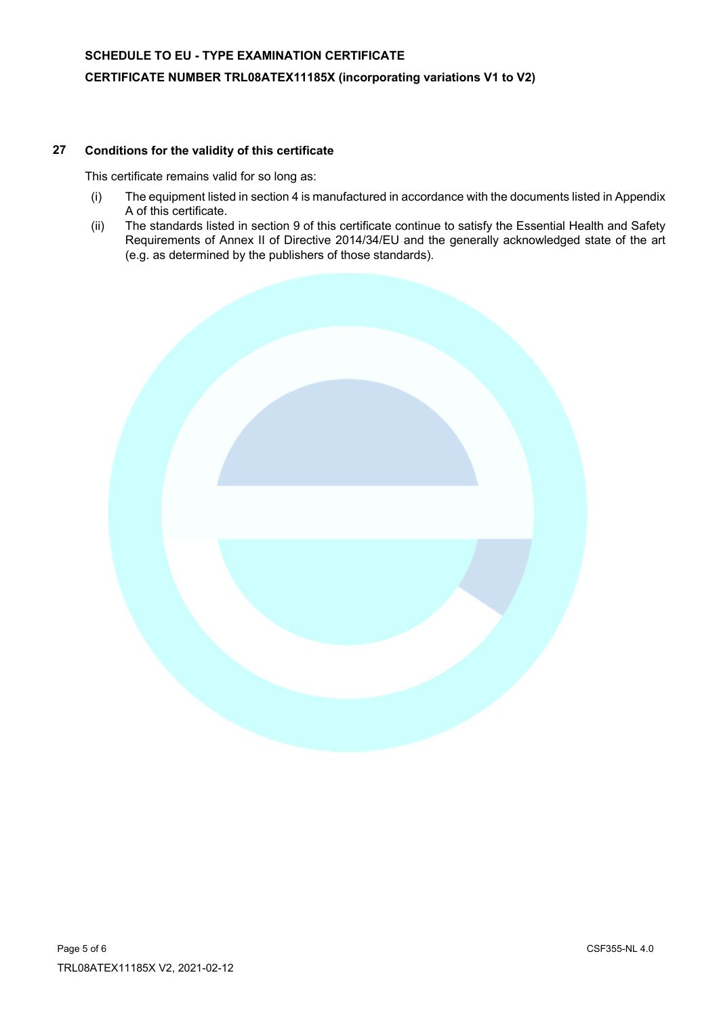# **27 Conditions for the validity of this certificate**

This certificate remains valid for so long as:

- (i) The equipment listed in section 4 is manufactured in accordance with the documents listed in Appendix A of this certificate.
- (ii) The standards listed in section 9 of this certificate continue to satisfy the Essential Health and Safety Requirements of Annex II of Directive 2014/34/EU and the generally acknowledged state of the art (e.g. as determined by the publishers of those standards).